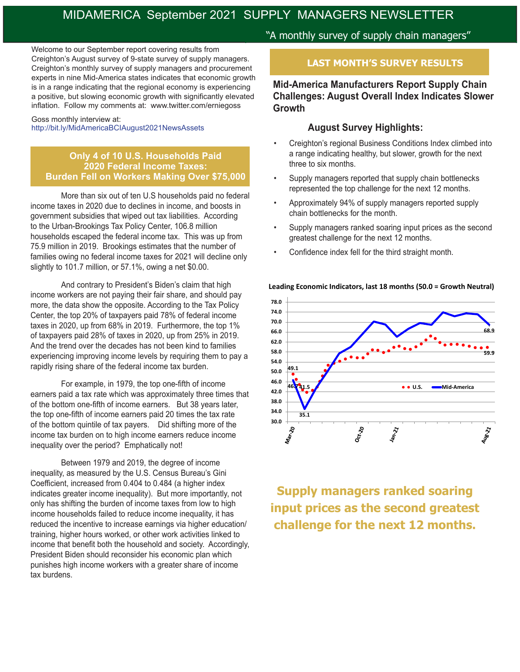# MIDAMERICA September 2021 SUPPLY MANAGERS NEWSLETTER

Welcome to our September report covering results from Creighton's August survey of 9-state survey of supply managers. Creighton's monthly survey of supply managers and procurement experts in nine Mid-America states indicates that economic growth is in a range indicating that the regional economy is experiencing a positive, but slowing economic growth with significantly elevated inflation. Follow my comments at: www.twitter.com/erniegoss

#### Goss monthly interview at: http://bit.ly/MidAmericaBCIAugust2021NewsAssets

#### **Only 4 of 10 U.S. Households Paid 2020 Federal Income Taxes: Burden Fell on Workers Making Over \$75,000**

More than six out of ten U.S households paid no federal income taxes in 2020 due to declines in income, and boosts in government subsidies that wiped out tax liabilities. According to the Urban-Brookings Tax Policy Center, 106.8 million households escaped the federal income tax. This was up from 75.9 million in 2019. Brookings estimates that the number of families owing no federal income taxes for 2021 will decline only slightly to 101.7 million, or 57.1%, owing a net \$0.00.

And contrary to President's Biden's claim that high income workers are not paying their fair share, and should pay more, the data show the opposite. According to the Tax Policy Center, the top 20% of taxpayers paid 78% of federal income taxes in 2020, up from 68% in 2019. Furthermore, the top 1% of taxpayers paid 28% of taxes in 2020, up from 25% in 2019. And the trend over the decades has not been kind to families experiencing improving income levels by requiring them to pay a rapidly rising share of the federal income tax burden.

 For example, in 1979, the top one-fifth of income earners paid a tax rate which was approximately three times that of the bottom one-fifth of income earners. But 38 years later, the top one-fifth of income earners paid 20 times the tax rate of the bottom quintile of tax payers. Did shifting more of the income tax burden on to high income earners reduce income inequality over the period? Emphatically not!

Between 1979 and 2019, the degree of income inequality, as measured by the U.S. Census Bureau's Gini Coefficient, increased from 0.404 to 0.484 (a higher index indicates greater income inequality). But more importantly, not only has shifting the burden of income taxes from low to high income households failed to reduce income inequality, it has reduced the incentive to increase earnings via higher education/ training, higher hours worked, or other work activities linked to income that benefit both the household and society. Accordingly, President Biden should reconsider his economic plan which punishes high income workers with a greater share of income tax burdens.

# "A monthly survey of supply chain managers"

## **LAST MONTH'S SURVEY RESULTS**

## **Mid-America Manufacturers Report Supply Chain Challenges: August Overall Index Indicates Slower Growth**

#### **August Survey Highlights:**

- Creighton's regional Business Conditions Index climbed into a range indicating healthy, but slower, growth for the next three to six months.
- Supply managers reported that supply chain bottlenecks represented the top challenge for the next 12 months.
- Approximately 94% of supply managers reported supply chain bottlenecks for the month.
- Supply managers ranked soaring input prices as the second greatest challenge for the next 12 months.
- Confidence index fell for the third straight month.





**Supply managers ranked soaring input prices as the second greatest challenge for the next 12 months.**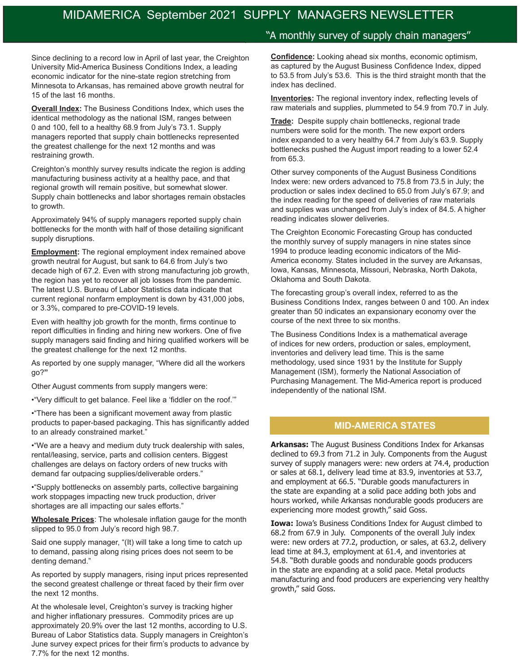Since declining to a record low in April of last year, the Creighton University Mid-America Business Conditions Index, a leading economic indicator for the nine-state region stretching from Minnesota to Arkansas, has remained above growth neutral for 15 of the last 16 months.

**Overall Index:** The Business Conditions Index, which uses the identical methodology as the national ISM, ranges between 0 and 100, fell to a healthy 68.9 from July's 73.1. Supply managers reported that supply chain bottlenecks represented the greatest challenge for the next 12 months and was restraining growth.

Creighton's monthly survey results indicate the region is adding manufacturing business activity at a healthy pace, and that regional growth will remain positive, but somewhat slower. Supply chain bottlenecks and labor shortages remain obstacles to growth.

Approximately 94% of supply managers reported supply chain bottlenecks for the month with half of those detailing significant supply disruptions.

**Employment:** The regional employment index remained above growth neutral for August, but sank to 64.6 from July's two decade high of 67.2. Even with strong manufacturing job growth, the region has yet to recover all job losses from the pandemic. The latest U.S. Bureau of Labor Statistics data indicate that current regional nonfarm employment is down by 431,000 jobs, or 3.3%, compared to pre-COVID-19 levels.

Even with healthy job growth for the month, firms continue to report difficulties in finding and hiring new workers. One of five supply managers said finding and hiring qualified workers will be the greatest challenge for the next 12 months.

As reported by one supply manager, "Where did all the workers go?**"**

Other August comments from supply mangers were:

•"Very difficult to get balance. Feel like a 'fiddler on the roof.'"

•"There has been a significant movement away from plastic products to paper-based packaging. This has significantly added to an already constrained market."

•"We are a heavy and medium duty truck dealership with sales, rental/leasing, service, parts and collision centers. Biggest challenges are delays on factory orders of new trucks with demand far outpacing supplies/deliverable orders."

•"Supply bottlenecks on assembly parts, collective bargaining work stoppages impacting new truck production, driver shortages are all impacting our sales efforts."

**Wholesale Prices**: The wholesale inflation gauge for the month slipped to 95.0 from July's record high 98.7.

Said one supply manager, "(It) will take a long time to catch up to demand, passing along rising prices does not seem to be denting demand."

As reported by supply managers, rising input prices represented the second greatest challenge or threat faced by their firm over the next 12 months.

At the wholesale level, Creighton's survey is tracking higher and higher inflationary pressures. Commodity prices are up approximately 20.9% over the last 12 months, according to U.S. Bureau of Labor Statistics data. Supply managers in Creighton's June survey expect prices for their firm's products to advance by 7.7% for the next 12 months.

#### "A monthly survey of supply chain managers"

**Confidence:** Looking ahead six months, economic optimism, as captured by the August Business Confidence Index, dipped to 53.5 from July's 53.6. This is the third straight month that the index has declined.

**Inventories:** The regional inventory index, reflecting levels of raw materials and supplies, plummeted to 54.9 from 70.7 in July.

**Trade:** Despite supply chain bottlenecks, regional trade numbers were solid for the month. The new export orders index expanded to a very healthy 64.7 from July's 63.9. Supply bottlenecks pushed the August import reading to a lower 52.4 from 65.3.

Other survey components of the August Business Conditions Index were: new orders advanced to 75.8 from 73.5 in July; the production or sales index declined to 65.0 from July's 67.9; and the index reading for the speed of deliveries of raw materials and supplies was unchanged from July's index of 84.5. A higher reading indicates slower deliveries.

The Creighton Economic Forecasting Group has conducted the monthly survey of supply managers in nine states since 1994 to produce leading economic indicators of the Mid-America economy. States included in the survey are Arkansas, Iowa, Kansas, Minnesota, Missouri, Nebraska, North Dakota, Oklahoma and South Dakota.

The forecasting group's overall index, referred to as the Business Conditions Index, ranges between 0 and 100. An index greater than 50 indicates an expansionary economy over the course of the next three to six months.

The Business Conditions Index is a mathematical average of indices for new orders, production or sales, employment, inventories and delivery lead time. This is the same methodology, used since 1931 by the Institute for Supply Management (ISM), formerly the National Association of Purchasing Management. The Mid-America report is produced independently of the national ISM.

#### **MID-AMERICA STATES**

**Arkansas:** The August Business Conditions Index for Arkansas declined to 69.3 from 71.2 in July. Components from the August survey of supply managers were: new orders at 74.4, production or sales at 68.1, delivery lead time at 83.9, inventories at 53.7, and employment at 66.5. "Durable goods manufacturers in the state are expanding at a solid pace adding both jobs and hours worked, while Arkansas nondurable goods producers are experiencing more modest growth," said Goss.

**Iowa:** Iowa's Business Conditions Index for August climbed to 68.2 from 67.9 in July. Components of the overall July index were: new orders at 77.2, production, or sales, at 63.2, delivery lead time at 84.3, employment at 61.4, and inventories at 54.8. "Both durable goods and nondurable goods producers in the state are expanding at a solid pace. Metal products manufacturing and food producers are experiencing very healthy growth," said Goss.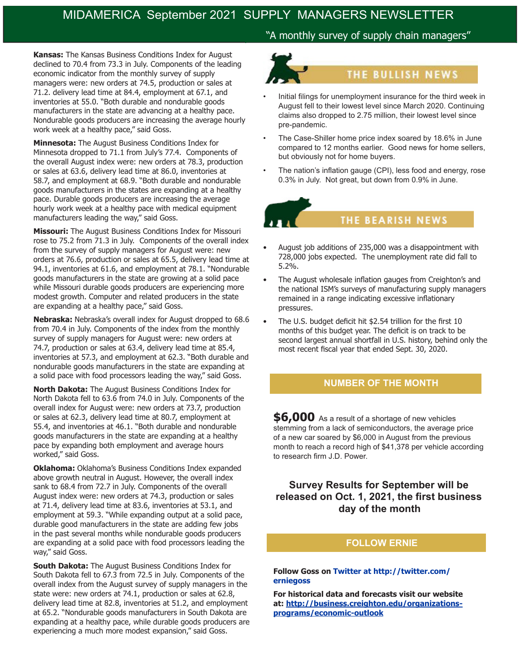**Kansas:** The Kansas Business Conditions Index for August declined to 70.4 from 73.3 in July. Components of the leading economic indicator from the monthly survey of supply managers were: new orders at 74.5, production or sales at 71.2. delivery lead time at 84.4, employment at 67.1, and inventories at 55.0. "Both durable and nondurable goods manufacturers in the state are advancing at a healthy pace. Nondurable goods producers are increasing the average hourly work week at a healthy pace," said Goss.

**Minnesota:** The August Business Conditions Index for Minnesota dropped to 71.1 from July's 77.4. Components of the overall August index were: new orders at 78.3, production or sales at 63.6, delivery lead time at 86.0, inventories at 58.7, and employment at 68.9. "Both durable and nondurable goods manufacturers in the states are expanding at a healthy pace. Durable goods producers are increasing the average hourly work week at a healthy pace with medical equipment manufacturers leading the way," said Goss.

**Missouri:** The August Business Conditions Index for Missouri rose to 75.2 from 71.3 in July. Components of the overall index from the survey of supply managers for August were: new orders at 76.6, production or sales at 65.5, delivery lead time at 94.1, inventories at 61.6, and employment at 78.1. "Nondurable goods manufacturers in the state are growing at a solid pace while Missouri durable goods producers are experiencing more modest growth. Computer and related producers in the state are expanding at a healthy pace," said Goss.

**Nebraska:** Nebraska's overall index for August dropped to 68.6 from 70.4 in July. Components of the index from the monthly survey of supply managers for August were: new orders at 74.7, production or sales at 63.4, delivery lead time at 85.4, inventories at 57.3, and employment at 62.3. "Both durable and nondurable goods manufacturers in the state are expanding at a solid pace with food processors leading the way," said Goss.

**North Dakota:** The August Business Conditions Index for North Dakota fell to 63.6 from 74.0 in July. Components of the overall index for August were: new orders at 73.7, production or sales at 62.3, delivery lead time at 80.7, employment at 55.4, and inventories at 46.1. "Both durable and nondurable goods manufacturers in the state are expanding at a healthy pace by expanding both employment and average hours worked," said Goss.

**Oklahoma:** Oklahoma's Business Conditions Index expanded above growth neutral in August. However, the overall index sank to 68.4 from 72.7 in July. Components of the overall August index were: new orders at 74.3, production or sales at 71.4, delivery lead time at 83.6, inventories at 53.1, and employment at 59.3. "While expanding output at a solid pace, durable good manufacturers in the state are adding few jobs in the past several months while nondurable goods producers are expanding at a solid pace with food processors leading the way," said Goss.

**South Dakota:** The August Business Conditions Index for South Dakota fell to 67.3 from 72.5 in July. Components of the overall index from the August survey of supply managers in the state were: new orders at 74.1, production or sales at 62.8, delivery lead time at 82.8, inventories at 51.2, and employment at 65.2. "Nondurable goods manufacturers in South Dakota are expanding at a healthy pace, while durable goods producers are experiencing a much more modest expansion," said Goss.

## "A monthly survey of supply chain managers"



- Initial filings for unemployment insurance for the third week in August fell to their lowest level since March 2020. Continuing claims also dropped to 2.75 million, their lowest level since pre-pandemic.
- The Case-Shiller home price index soared by 18.6% in June compared to 12 months earlier. Good news for home sellers, but obviously not for home buyers.
- The nation's inflation gauge (CPI), less food and energy, rose 0.3% in July. Not great, but down from 0.9% in June.



- August job additions of 235,000 was a disappointment with 728,000 jobs expected. The unemployment rate did fall to 5.2%.
- The August wholesale inflation gauges from Creighton's and the national ISM's surveys of manufacturing supply managers remained in a range indicating excessive inflationary pressures.
- The U.S. budget deficit hit \$2.54 trillion for the first 10 months of this budget year. The deficit is on track to be second largest annual shortfall in U.S. history, behind only the most recent fiscal year that ended Sept. 30, 2020.

#### **NUMBER OF THE MONTH**

**\$6,000** As a result of a shortage of new vehicles stemming from a lack of semiconductors, the average price of a new car soared by \$6,000 in August from the previous month to reach a record high of \$41,378 per vehicle according to research firm J.D. Power.

## **Survey Results for September will be released on Oct. 1, 2021, the first business day of the month**

#### **FOLLOW ERNIE**

#### **Follow Goss on Twitter at http://twitter.com/ erniegoss**

**For historical data and forecasts visit our website at: http://business.creighton.edu/organizationsprograms/economic-outlook**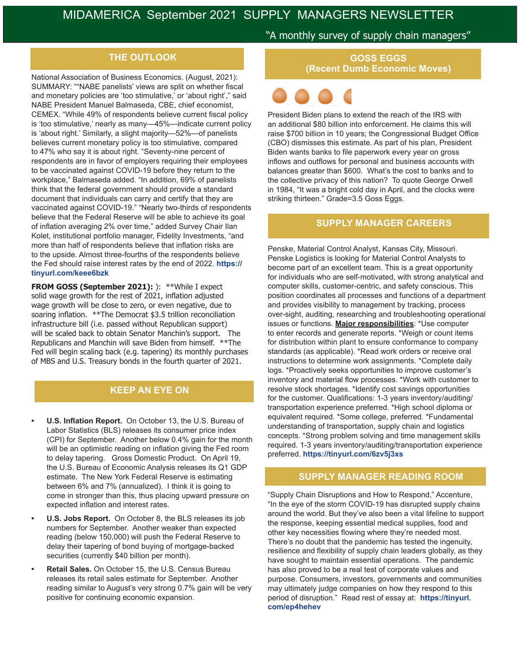National Association of Business Economics. (August, 2021): SUMMARY: ""NABE panelists' views are split on whether fiscal and monetary policies are 'too stimulative,' or 'about right'," said NABE President Manuel Balmaseda, CBE, chief economist, CEMEX. "While 49% of respondents believe current fiscal policy is 'too stimulative,' nearly as many—45%—indicate current policy is 'about right.' Similarly, a slight majority—52%—of panelists believes current monetary policy is too stimulative, compared to 47% who say it is about right. "Seventy-nine percent of respondents are in favor of employers requiring their employees to be vaccinated against COVID-19 before they return to the workplace," Balmaseda added. "In addition, 69% of panelists think that the federal government should provide a standard document that individuals can carry and certify that they are vaccinated against COVID-19." "Nearly two-thirds of respondents believe that the Federal Reserve will be able to achieve its goal of inflation averaging 2% over time," added Survey Chair Ilan Kolet, institutional portfolio manager, Fidelity Investments, "and more than half of respondents believe that inflation risks are to the upside. Almost three-fourths of the respondents believe the Fed should raise interest rates by the end of 2022. **https:// tinyurl.com/keee6bzk**

**FROM GOSS (September 2021):** ): \*\*While I expect solid wage growth for the rest of 2021, inflation adjusted wage growth will be close to zero, or even negative, due to soaring inflation. \*\*The Democrat \$3.5 trillion reconciliation infrastructure bill (i.e. passed without Republican support) will be scaled back to obtain Senator Manchin's support. The Republicans and Manchin will save Biden from himself. \*\*The Fed will begin scaling back (e.g. tapering) its monthly purchases of MBS and U.S. Treasury bonds in the fourth quarter of 2021.

## **KEEP AN EYE ON**

- **• U.S. Inflation Report.** On October 13, the U.S. Bureau of Labor Statistics (BLS) releases its consumer price index (CPI) for September. Another below 0.4% gain for the month will be an optimistic reading on inflation giving the Fed room to delay tapering. Gross Domestic Product. On April 19, the U.S. Bureau of Economic Analysis releases its Q1 GDP estimate. The New York Federal Reserve is estimating between 6% and 7% (annualized). I think it is going to come in stronger than this, thus placing upward pressure on expected inflation and interest rates.
- **• U.S. Jobs Report.** On October 8, the BLS releases its job numbers for September. Another weaker than expected reading (below 150,000) will push the Federal Reserve to delay their tapering of bond buying of mortgage-backed securities (currently \$40 billion per month).
- **• Retail Sales.** On October 15, the U.S. Census Bureau releases its retail sales estimate for September. Another reading similar to August's very strong 0.7% gain will be very positive for continuing economic expansion.

#### "A monthly survey of supply chain managers"

**THE OUTLOOK COSS EGGS (Recent Dumb Economic Moves)**



President Biden plans to extend the reach of the IRS with an additional \$80 billion into enforcement. He claims this will raise \$700 billion in 10 years; the Congressional Budget Office (CBO) dismisses this estimate. As part of his plan, President Biden wants banks to file paperwork every year on gross inflows and outflows for personal and business accounts with balances greater than \$600. What's the cost to banks and to the collective privacy of this nation? To quote George Orwell in 1984, "It was a bright cold day in April, and the clocks were striking thirteen." Grade=3.5 Goss Eggs.

#### **SUPPLY MANAGER CAREERS**

Penske, Material Control Analyst, Kansas City, Missouri. Penske Logistics is looking for Material Control Analysts to become part of an excellent team. This is a great opportunity for individuals who are self-motivated, with strong analytical and computer skills, customer-centric, and safety conscious. This position coordinates all processes and functions of a department and provides visibility to management by tracking, process over-sight, auditing, researching and troubleshooting operational issues or functions. **Major responsibilities**: \*Use computer to enter records and generate reports. \*Weigh or count items for distribution within plant to ensure conformance to company standards (as applicable). \*Read work orders or receive oral instructions to determine work assignments. \*Complete daily logs. \*Proactively seeks opportunities to improve customer's inventory and material flow processes. \*Work with customer to resolve stock shortages. \*Identify cost savings opportunities for the customer. Qualifications: 1-3 years inventory/auditing/ transportation experience preferred. \*High school diploma or equivalent required. \*Some college, preferred. \*Fundamental understanding of transportation, supply chain and logistics concepts. \*Strong problem solving and time management skills required. 1-3 years inventory/auditing/transportation experience preferred. **https://tinyurl.com/6zv5j3xs**

#### **SUPPLY MANAGER READING ROOM**

"Supply Chain Disruptions and How to Respond," Accenture, "In the eye of the storm COVID-19 has disrupted supply chains around the world. But they've also been a vital lifeline to support the response, keeping essential medical supplies, food and other key necessities flowing where they're needed most. There's no doubt that the pandemic has tested the ingenuity, resilience and flexibility of supply chain leaders globally, as they have sought to maintain essential operations. The pandemic has also proved to be a real test of corporate values and purpose. Consumers, investors, governments and communities may ultimately judge companies on how they respond to this period of disruption." Read rest of essay at: **https://tinyurl. com/ep4hehev**